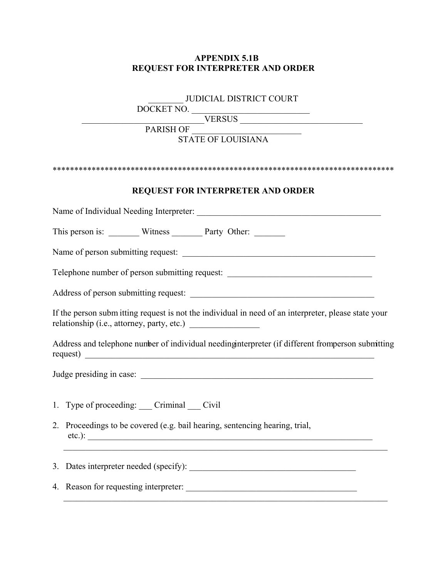## **APPENDIX 5.1B REQUEST FOR INTERPRETER AND ORDER**

## \_\_\_\_\_\_\_\_ JUDICIAL DISTRICT COURT

DOCKET NO. \_\_\_\_\_\_\_\_\_\_\_\_\_\_\_\_\_\_\_\_\_\_\_\_\_\_\_

 $VERSUS$  and the contract of  $VERSUS$  and  $VERSUS$  and  $VERSUS$  and  $VERSUS$  and  $VERSUS$  and  $VERSUS$  and  $VERSUS$  and  $VERSUS$ 

PARISH OF \_\_\_\_\_\_\_\_\_\_\_\_\_\_\_\_\_\_\_\_\_\_\_\_\_

## STATE OF LOUISIANA

| <b>REQUEST FOR INTERPRETER AND ORDER</b>                                                             |
|------------------------------------------------------------------------------------------------------|
|                                                                                                      |
| This person is: _________ Witness ________ Party Other: ________                                     |
|                                                                                                      |
| Telephone number of person submitting request: _________________________________                     |
|                                                                                                      |
| If the person subm itting request is not the individual in need of an interpreter, please state your |
| Address and telephone number of individual needing interpreter (if different from person submitting  |
|                                                                                                      |
| 1. Type of proceeding: ___ Criminal ___ Civil                                                        |
| 2. Proceedings to be covered (e.g. bail hearing, sentencing hearing, trial,<br>$etc.$ ):             |
|                                                                                                      |
|                                                                                                      |

 $\overline{\phantom{a}}$  ,  $\overline{\phantom{a}}$  ,  $\overline{\phantom{a}}$  ,  $\overline{\phantom{a}}$  ,  $\overline{\phantom{a}}$  ,  $\overline{\phantom{a}}$  ,  $\overline{\phantom{a}}$  ,  $\overline{\phantom{a}}$  ,  $\overline{\phantom{a}}$  ,  $\overline{\phantom{a}}$  ,  $\overline{\phantom{a}}$  ,  $\overline{\phantom{a}}$  ,  $\overline{\phantom{a}}$  ,  $\overline{\phantom{a}}$  ,  $\overline{\phantom{a}}$  ,  $\overline{\phantom{a}}$